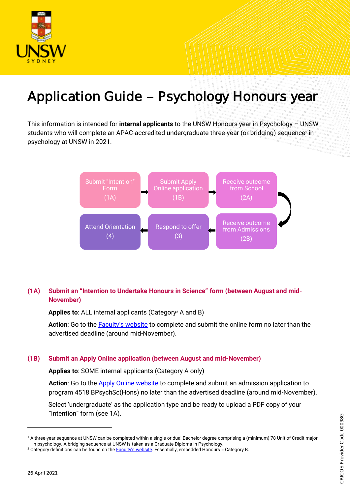

# Application Guide - Psychology Honours year

This information is intended for **internal applicants** to the UNSW Honours year in Psychology – UNSW students who will complete an APAC-accredited undergraduate three-year (or bridging) sequence1 in psychology at UNSW in 2021.



# **(1A) Submit an "Intention to Undertake Honours in Science" form (between August and mid-November)**

Applies to: ALL internal applicants (Category<sup>2</sup> A and B)

**Action**: Go to the [Faculty's website](https://www.science.unsw.edu.au/study-us/undergraduate/honours-degrees/honours-how-apply) to complete and submit the online form no later than the advertised deadline (around mid-November).

#### **(1B) Submit an Apply Online application (between August and mid-November)**

**Applies to**: SOME internal applicants (Category A only)

**Action**: Go to the [Apply Online website](https://applyonline.unsw.edu.au/login) to complete and submit an admission application to program 4518 BPsychSc(Hons) no later than the advertised deadline (around mid-November).

Select 'undergraduate' as the application type and be ready to upload a PDF copy of your "Intention" form (see 1A).

l

<sup>1</sup> A three-year sequence at UNSW can be completed within a single or dual Bachelor degree comprising a (minimum) 78 Unit of Credit major in psychology. A bridging sequence at UNSW is taken as a Graduate Diploma in Psychology.

<sup>&</sup>lt;sup>2</sup> Category definitions can be found on the **[Faculty's website](https://www.science.unsw.edu.au/study-us/undergraduate/honours-degrees/honours-how-apply)**. Essentially, embedded Honours = Category B.